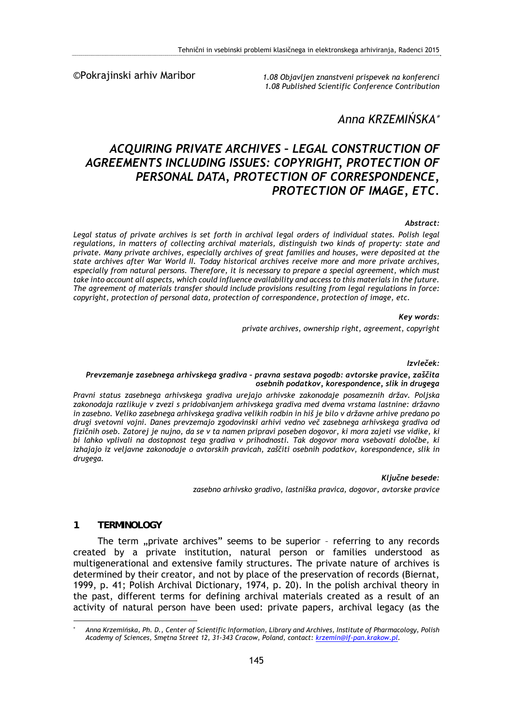©Pokrajinski arhiv Maribor

*1.08 Objavljen znanstveni prispevek na konferenci 1.08 Published Scientific Conference Contribution* 

# *Anna KRZEMIŃSKA*

# *ACQUIRING PRIVATE ARCHIVES – LEGAL CONSTRUCTION OF AGREEMENTS INCLUDING ISSUES: COPYRIGHT, PROTECTION OF PERSONAL DATA, PROTECTION OF CORRESPONDENCE, PROTECTION OF IMAGE, ETC.*

#### *Abstract:*

Legal status of private archives is set forth in archival legal orders of individual states. Polish legal *regulations, in matters of collecting archival materials, distinguish two kinds of property: state and private. Many private archives, especially archives of great families and houses, were deposited at the state archives after War World II. Today historical archives receive more and more private archives, especially from natural persons. Therefore, it is necessary to prepare a special agreement, which must take into account all aspects, which could influence availability and access to this materials in the future. The agreement of materials transfer should include provisions resulting from legal regulations in force: copyright, protection of personal data, protection of correspondence, protection of image, etc.* 

#### *Key words:*

*private archives, ownership right, agreement, copyright* 

*Izvleček:* 

#### *Prevzemanje zasebnega arhivskega gradiva – pravna sestava pogodb: avtorske pravice, zaščita osebnih podatkov, korespondence, slik in drugega*

*Pravni status zasebnega arhivskega gradiva urejajo arhivske zakonodaje posameznih držav. Poljska zakonodaja razlikuje v zvezi s pridobivanjem arhivskega gradiva med dvema vrstama lastnine: državno in zasebno. Veliko zasebnega arhivskega gradiva velikih rodbin in hiš je bilo v državne arhive predano po drugi svetovni vojni. Danes prevzemajo zgodovinski arhivi vedno več zasebnega arhivskega gradiva od fizičnih oseb. Zatorej je nujno, da se v ta namen pripravi poseben dogovor, ki mora zajeti vse vidike, ki bi lahko vplivali na dostopnost tega gradiva v prihodnosti. Tak dogovor mora vsebovati določbe, ki izhajajo iz veljavne zakonodaje o avtorskih pravicah, zaščiti osebnih podatkov, korespondence, slik in drugega.* 

*Ključne besede:* 

*zasebno arhivsko gradivo, lastniška pravica, dogovor, avtorske pravice* 

#### **1 TERMINOLOGY**

1

The term "private archives" seems to be superior - referring to any records created by a private institution, natural person or families understood as multigenerational and extensive family structures. The private nature of archives is determined by their creator, and not by place of the preservation of records (Biernat, 1999, p. 41; Polish Archival Dictionary, 1974, p. 20). In the polish archival theory in the past, different terms for defining archival materials created as a result of an activity of natural person have been used: private papers, archival legacy (as the

<sup>\*</sup>  *Anna Krzemińska, Ph. D., Center of Scientific Information, Library and Archives, Institute of Pharmacology, Polish Academy of Sciences, Smętna Street 12, 31-343 Cracow, Poland, contact: krzemin@if-pan.krakow.pl.*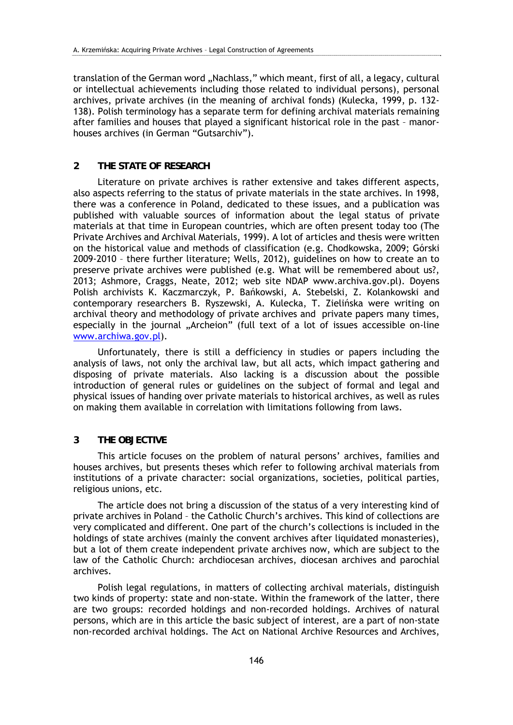translation of the German word "Nachlass," which meant, first of all, a legacy, cultural or intellectual achievements including those related to individual persons), personal archives, private archives (in the meaning of archival fonds) (Kulecka, 1999, p. 132- 138). Polish terminology has a separate term for defining archival materials remaining after families and houses that played a significant historical role in the past – manorhouses archives (in German "Gutsarchiv").

## **2 THE STATE OF RESEARCH**

Literature on private archives is rather extensive and takes different aspects, also aspects referring to the status of private materials in the state archives. In 1998, there was a conference in Poland, dedicated to these issues, and a publication was published with valuable sources of information about the legal status of private materials at that time in European countries, which are often present today too (The Private Archives and Archival Materials, 1999). A lot of articles and thesis were written on the historical value and methods of classification (e.g. Chodkowska, 2009; Górski 2009-2010 – there further literature; Wells, 2012), guidelines on how to create an to preserve private archives were published (e.g. What will be remembered about us?, 2013; Ashmore, Craggs, Neate, 2012; web site NDAP www.archiva.gov.pl). Doyens Polish archivists K. Kaczmarczyk, P. Bańkowski, A. Stebelski, Z. Kolankowski and contemporary researchers B. Ryszewski, A. Kulecka, T. Zielińska were writing on archival theory and methodology of private archives and private papers many times, especially in the journal "Archeion" (full text of a lot of issues accessible on-line www.archiwa.gov.pl).

Unfortunately, there is still a defficiency in studies or papers including the analysis of laws, not only the archival law, but all acts, which impact gathering and disposing of private materials. Also lacking is a discussion about the possible introduction of general rules or guidelines on the subject of formal and legal and physical issues of handing over private materials to historical archives, as well as rules on making them available in correlation with limitations following from laws.

## **3 THE OBJECTIVE**

This article focuses on the problem of natural persons' archives, families and houses archives, but presents theses which refer to following archival materials from institutions of a private character: social organizations, societies, political parties, religious unions, etc.

The article does not bring a discussion of the status of a very interesting kind of private archives in Poland – the Catholic Church's archives. This kind of collections are very complicated and different. One part of the church's collections is included in the holdings of state archives (mainly the convent archives after liquidated monasteries), but a lot of them create independent private archives now, which are subject to the law of the Catholic Church: archdiocesan archives, diocesan archives and parochial archives.

Polish legal regulations, in matters of collecting archival materials, distinguish two kinds of property: state and non-state. Within the framework of the latter, there are two groups: recorded holdings and non-recorded holdings. Archives of natural persons, which are in this article the basic subject of interest, are a part of non-state non-recorded archival holdings. The Act on National Archive Resources and Archives,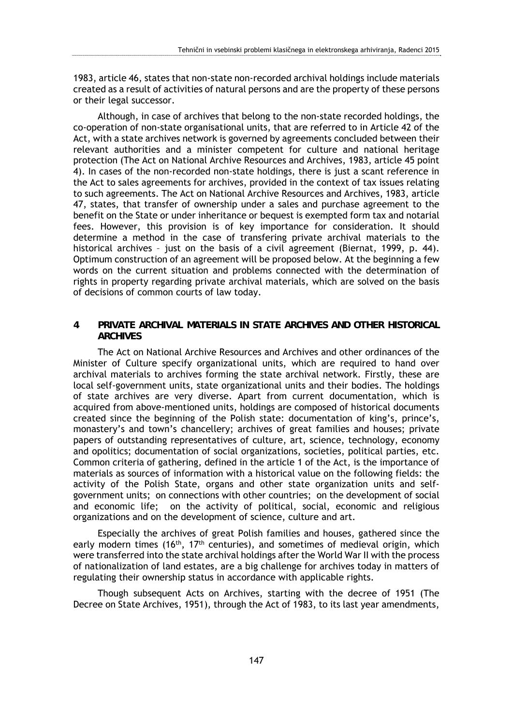1983, article 46, states that non-state non-recorded archival holdings include materials created as a result of activities of natural persons and are the property of these persons or their legal successor.

Although, in case of archives that belong to the non-state recorded holdings, the co-operation of non-state organisational units, that are referred to in Article 42 of the Act, with a state archives network is governed by agreements concluded between their relevant authorities and a minister competent for culture and national heritage protection (The Act on National Archive Resources and Archives, 1983, article 45 point 4). In cases of the non-recorded non-state holdings, there is just a scant reference in the Act to sales agreements for archives, provided in the context of tax issues relating to such agreements. The Act on National Archive Resources and Archives, 1983, article 47, states, that transfer of ownership under a sales and purchase agreement to the benefit on the State or under inheritance or bequest is exempted form tax and notarial fees. However, this provision is of key importance for consideration. It should determine a method in the case of transfering private archival materials to the historical archives – just on the basis of a civil agreement (Biernat, 1999, p. 44). Optimum construction of an agreement will be proposed below. At the beginning a few words on the current situation and problems connected with the determination of rights in property regarding private archival materials, which are solved on the basis of decisions of common courts of law today.

### **4 PRIVATE ARCHIVAL MATERIALS IN STATE ARCHIVES AND OTHER HISTORICAL ARCHIVES**

The Act on National Archive Resources and Archives and other ordinances of the Minister of Culture specify organizational units, which are required to hand over archival materials to archives forming the state archival network. Firstly, these are local self-government units, state organizational units and their bodies. The holdings of state archives are very diverse. Apart from current documentation, which is acquired from above-mentioned units, holdings are composed of historical documents created since the beginning of the Polish state: documentation of king's, prince's, monastery's and town's chancellery; archives of great families and houses; private papers of outstanding representatives of culture, art, science, technology, economy and opolitics; documentation of social organizations, societies, political parties, etc. Common criteria of gathering, defined in the article 1 of the Act, is the importance of materials as sources of information with a historical value on the following fields: the activity of the Polish State, organs and other state organization units and selfgovernment units; on connections with other countries; on the development of social and economic life; on the activity of political, social, economic and religious organizations and on the development of science, culture and art.

Especially the archives of great Polish families and houses, gathered since the early modern times (16<sup>th</sup>, 17<sup>th</sup> centuries), and sometimes of medieval origin, which were transferred into the state archival holdings after the World War II with the process of nationalization of land estates, are a big challenge for archives today in matters of regulating their ownership status in accordance with applicable rights.

Though subsequent Acts on Archives, starting with the decree of 1951 (The Decree on State Archives, 1951), through the Act of 1983, to its last year amendments,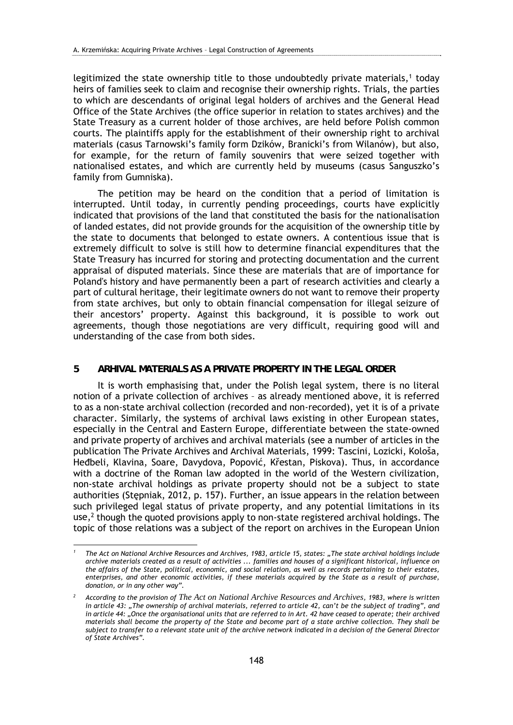legitimized the state ownership title to those undoubtedly private materials, $1$  today heirs of families seek to claim and recognise their ownership rights. Trials, the parties to which are descendants of original legal holders of archives and the General Head Office of the State Archives (the office superior in relation to states archives) and the State Treasury as a current holder of those archives, are held before Polish common courts. The plaintiffs apply for the establishment of their ownership right to archival materials (casus Tarnowski's family form Dzików, Branicki's from Wilanów), but also, for example, for the return of family souvenirs that were seized together with nationalised estates, and which are currently held by museums (casus Sanguszko's family from Gumniska).

The petition may be heard on the condition that a period of limitation is interrupted. Until today, in currently pending proceedings, courts have explicitly indicated that provisions of the land that constituted the basis for the nationalisation of landed estates, did not provide grounds for the acquisition of the ownership title by the state to documents that belonged to estate owners. A contentious issue that is extremely difficult to solve is still how to determine financial expenditures that the State Treasury has incurred for storing and protecting documentation and the current appraisal of disputed materials. Since these are materials that are of importance for Poland's history and have permanently been a part of research activities and clearly a part of cultural heritage, their legitimate owners do not want to remove their property from state archives, but only to obtain financial compensation for illegal seizure of their ancestors' property. Against this background, it is possible to work out agreements, though those negotiations are very difficult, requiring good will and understanding of the case from both sides.

#### **5 ARHIVAL MATERIALS AS A PRIVATE PROPERTY IN THE LEGAL ORDER**

It is worth emphasising that, under the Polish legal system, there is no literal notion of a private collection of archives – as already mentioned above, it is referred to as a non-state archival collection (recorded and non-recorded), yet it is of a private character. Similarly, the systems of archival laws existing in other European states, especially in the Central and Eastern Europe, differentiate between the state-owned and private property of archives and archival materials (see a number of articles in the publication The Private Archives and Archival Materials, 1999: Tascini, Lozicki, Kološa, Heđbeli, Klavina, Soare, Davydova, Popović, Křestan, Piskova). Thus, in accordance with a doctrine of the Roman law adopted in the world of the Western civilization, non-state archival holdings as private property should not be a subject to state authorities (Stępniak, 2012, p. 157). Further, an issue appears in the relation between such privileged legal status of private property, and any potential limitations in its use, $2$  though the quoted provisions apply to non-state registered archival holdings. The topic of those relations was a subject of the report on archives in the European Union

1

*<sup>1</sup> The Act on National Archive Resources and Archives, 1983, article 15, states: "The state archival holdings include archive materials created as a result of activities ... families and houses of a significant historical, influence on the affairs of the State, political, economic, and social relation, as well as records pertaining to their estates, enterprises, and other economic activities, if these materials acquired by the State as a result of purchase, donation, or in any other way".* 

*<sup>2</sup> According to the provision of The Act on National Archive Resources and Archives, 1983, where is written in article 43: "The ownership of archival materials, referred to article 42, can't be the subject of trading", and*  in article 44: "Once the organisational units that are referred to in Art. 42 have ceased to operate; their archived *materials shall become the property of the State and become part of a state archive collection. They shall be subject to transfer to a relevant state unit of the archive network indicated in a decision of the General Director of State Archives".*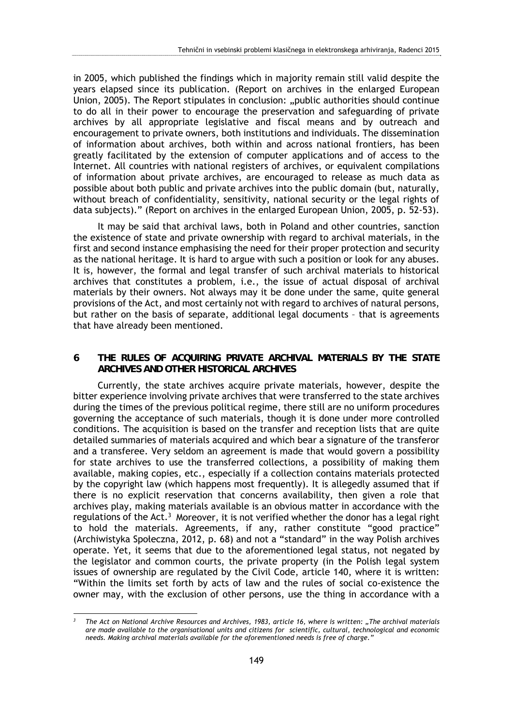in 2005, which published the findings which in majority remain still valid despite the years elapsed since its publication. (Report on archives in the enlarged European Union, 2005). The Report stipulates in conclusion: "public authorities should continue to do all in their power to encourage the preservation and safeguarding of private archives by all appropriate legislative and fiscal means and by outreach and encouragement to private owners, both institutions and individuals. The dissemination of information about archives, both within and across national frontiers, has been greatly facilitated by the extension of computer applications and of access to the Internet. All countries with national registers of archives, or equivalent compilations of information about private archives, are encouraged to release as much data as possible about both public and private archives into the public domain (but, naturally, without breach of confidentiality, sensitivity, national security or the legal rights of data subjects)." (Report on archives in the enlarged European Union, 2005, p. 52-53).

It may be said that archival laws, both in Poland and other countries, sanction the existence of state and private ownership with regard to archival materials, in the first and second instance emphasising the need for their proper protection and security as the national heritage. It is hard to argue with such a position or look for any abuses. It is, however, the formal and legal transfer of such archival materials to historical archives that constitutes a problem, i.e., the issue of actual disposal of archival materials by their owners. Not always may it be done under the same, quite general provisions of the Act, and most certainly not with regard to archives of natural persons, but rather on the basis of separate, additional legal documents – that is agreements that have already been mentioned.

### **6 THE RULES OF ACQUIRING PRIVATE ARCHIVAL MATERIALS BY THE STATE ARCHIVES AND OTHER HISTORICAL ARCHIVES**

Currently, the state archives acquire private materials, however, despite the bitter experience involving private archives that were transferred to the state archives during the times of the previous political regime, there still are no uniform procedures governing the acceptance of such materials, though it is done under more controlled conditions. The acquisition is based on the transfer and reception lists that are quite detailed summaries of materials acquired and which bear a signature of the transferor and a transferee. Very seldom an agreement is made that would govern a possibility for state archives to use the transferred collections, a possibility of making them available, making copies, etc., especially if a collection contains materials protected by the copyright law (which happens most frequently). It is allegedly assumed that if there is no explicit reservation that concerns availability, then given a role that archives play, making materials available is an obvious matter in accordance with the regulations of the Act.<sup>3</sup> Moreover, it is not verified whether the donor has a legal right to hold the materials. Agreements, if any, rather constitute "good practice" (Archiwistyka Społeczna, 2012, p. 68) and not a "standard" in the way Polish archives operate. Yet, it seems that due to the aforementioned legal status, not negated by the legislator and common courts, the private property (in the Polish legal system issues of ownership are regulated by the Civil Code, article 140, where it is written: "Within the limits set forth by acts of law and the rules of social co-existence the owner may, with the exclusion of other persons, use the thing in accordance with a

<u>.</u>

*<sup>3</sup> The Act on National Archive Resources and Archives, 1983, article 16, where is written: "The archival materials are made available to the organisational units and citizens for scientific, cultural, technological and economic needs. Making archival materials available for the aforementioned needs is free of charge."*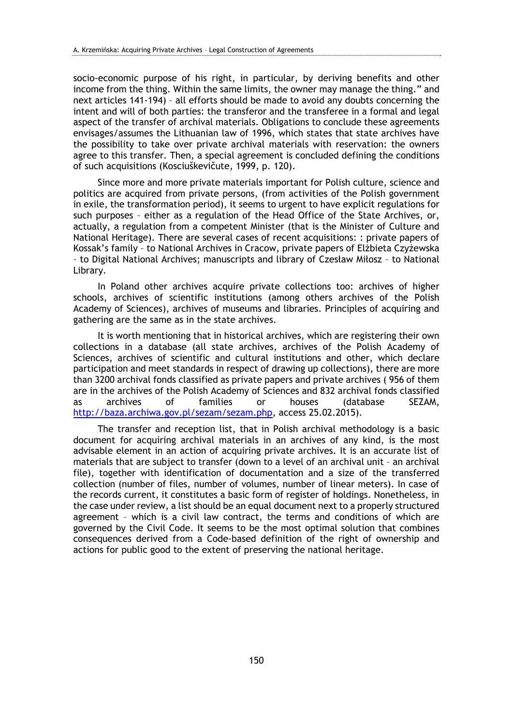socio-economic purpose of his right, in particular, by deriving benefits and other income from the thing. Within the same limits, the owner may manage the thing." and next articles 141-194) – all efforts should be made to avoid any doubts concerning the intent and will of both parties: the transferor and the transferee in a formal and legal aspect of the transfer of archival materials. Obligations to conclude these agreements envisages/assumes the Lithuanian law of 1996, which states that state archives have the possibility to take over private archival materials with reservation: the owners agree to this transfer. Then, a special agreement is concluded defining the conditions of such acquisitions (Kosciuškevičute, 1999, p. 120).

Since more and more private materials important for Polish culture, science and politics are acquired from private persons, (from activities of the Polish government in exile, the transformation period), it seems to urgent to have explicit regulations for such purposes – either as a regulation of the Head Office of the State Archives, or, actually, a regulation from a competent Minister (that is the Minister of Culture and National Heritage). There are several cases of recent acquisitions: : private papers of Kossak's family – to National Archives in Cracow, private papers of Elżbieta Czyżewska – to Digital National Archives; manuscripts and library of Czesław Miłosz – to National Library.

In Poland other archives acquire private collections too: archives of higher schools, archives of scientific institutions (among others archives of the Polish Academy of Sciences), archives of museums and libraries. Principles of acquiring and gathering are the same as in the state archives.

It is worth mentioning that in historical archives, which are registering their own collections in a database (all state archives, archives of the Polish Academy of Sciences, archives of scientific and cultural institutions and other, which declare participation and meet standards in respect of drawing up collections), there are more than 3200 archival fonds classified as private papers and private archives ( 956 of them are in the archives of the Polish Academy of Sciences and 832 archival fonds classified as archives of families or houses (database SEZAM, http://baza.archiwa.gov.pl/sezam/sezam.php, access 25.02.2015).

The transfer and reception list, that in Polish archival methodology is a basic document for acquiring archival materials in an archives of any kind, is the most advisable element in an action of acquiring private archives. It is an accurate list of materials that are subject to transfer (down to a level of an archival unit – an archival file), together with identification of documentation and a size of the transferred collection (number of files, number of volumes, number of linear meters). In case of the records current, it constitutes a basic form of register of holdings. Nonetheless, in the case under review, a list should be an equal document next to a properly structured agreement – which is a civil law contract, the terms and conditions of which are governed by the Civil Code. It seems to be the most optimal solution that combines consequences derived from a Code-based definition of the right of ownership and actions for public good to the extent of preserving the national heritage.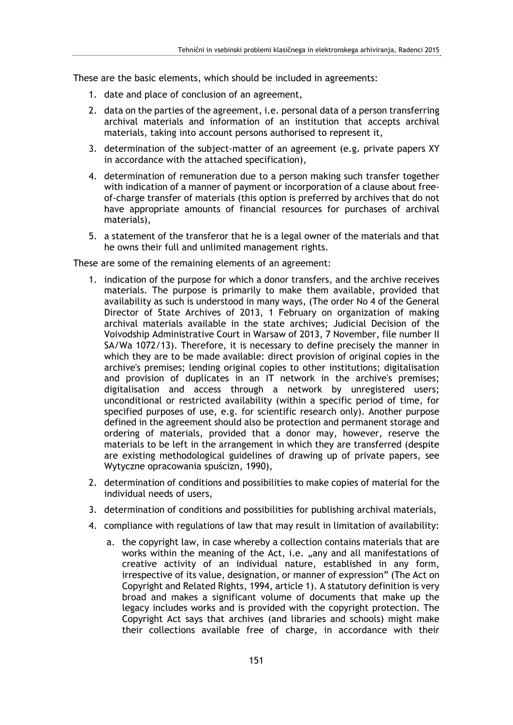These are the basic elements, which should be included in agreements:

- 1. date and place of conclusion of an agreement,
- 2. data on the parties of the agreement, i.e. personal data of a person transferring archival materials and information of an institution that accepts archival materials, taking into account persons authorised to represent it,
- 3. determination of the subject-matter of an agreement (e.g. private papers XY in accordance with the attached specification),
- 4. determination of remuneration due to a person making such transfer together with indication of a manner of payment or incorporation of a clause about freeof-charge transfer of materials (this option is preferred by archives that do not have appropriate amounts of financial resources for purchases of archival materials),
- 5. a statement of the transferor that he is a legal owner of the materials and that he owns their full and unlimited management rights.

These are some of the remaining elements of an agreement:

- 1. indication of the purpose for which a donor transfers, and the archive receives materials. The purpose is primarily to make them available, provided that availability as such is understood in many ways, (The order No 4 of the General Director of State Archives of 2013, 1 February on organization of making archival materials available in the state archives; Judicial Decision of the Voivodship Administrative Court in Warsaw of 2013, 7 November, file number II SA/Wa 1072/13). Therefore, it is necessary to define precisely the manner in which they are to be made available: direct provision of original copies in the archive's premises; lending original copies to other institutions; digitalisation and provision of duplicates in an IT network in the archive's premises; digitalisation and access through a network by unregistered users; unconditional or restricted availability (within a specific period of time, for specified purposes of use, e.g. for scientific research only). Another purpose defined in the agreement should also be protection and permanent storage and ordering of materials, provided that a donor may, however, reserve the materials to be left in the arrangement in which they are transferred (despite are existing methodological guidelines of drawing up of private papers, see Wytyczne opracowania spuścizn, 1990),
- 2. determination of conditions and possibilities to make copies of material for the individual needs of users,
- 3. determination of conditions and possibilities for publishing archival materials,
- 4. compliance with regulations of law that may result in limitation of availability:
	- a. the copyright law, in case whereby a collection contains materials that are works within the meaning of the Act, i.e. "any and all manifestations of creative activity of an individual nature, established in any form, irrespective of its value, designation, or manner of expression" (The Act on Copyright and Related Rights, 1994, article 1). A statutory definition is very broad and makes a significant volume of documents that make up the legacy includes works and is provided with the copyright protection. The Copyright Act says that archives (and libraries and schools) might make their collections available free of charge, in accordance with their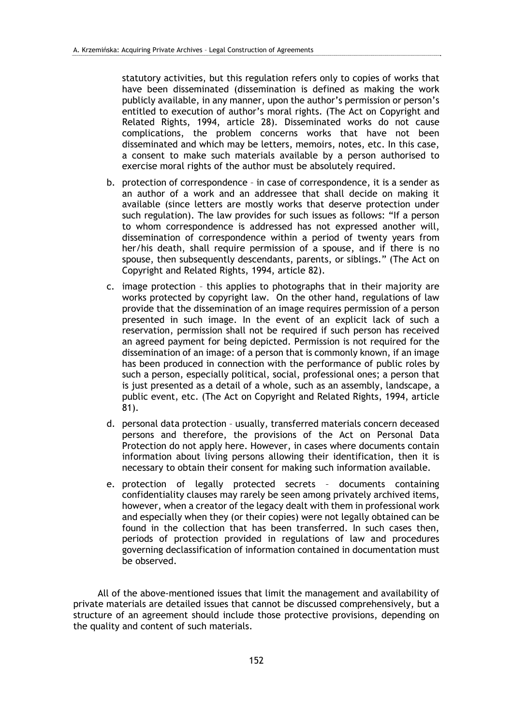statutory activities, but this regulation refers only to copies of works that have been disseminated (dissemination is defined as making the work publicly available, in any manner, upon the author's permission or person's entitled to execution of author's moral rights. (The Act on Copyright and Related Rights, 1994, article 28). Disseminated works do not cause complications, the problem concerns works that have not been disseminated and which may be letters, memoirs, notes, etc. In this case, a consent to make such materials available by a person authorised to exercise moral rights of the author must be absolutely required.

- b. protection of correspondence in case of correspondence, it is a sender as an author of a work and an addressee that shall decide on making it available (since letters are mostly works that deserve protection under such regulation). The law provides for such issues as follows: "If a person to whom correspondence is addressed has not expressed another will, dissemination of correspondence within a period of twenty years from her/his death, shall require permission of a spouse, and if there is no spouse, then subsequently descendants, parents, or siblings." (The Act on Copyright and Related Rights, 1994, article 82).
- c. image protection this applies to photographs that in their majority are works protected by copyright law. On the other hand, regulations of law provide that the dissemination of an image requires permission of a person presented in such image. In the event of an explicit lack of such a reservation, permission shall not be required if such person has received an agreed payment for being depicted. Permission is not required for the dissemination of an image: of a person that is commonly known, if an image has been produced in connection with the performance of public roles by such a person, especially political, social, professional ones; a person that is just presented as a detail of a whole, such as an assembly, landscape, a public event, etc. (The Act on Copyright and Related Rights, 1994, article 81).
- d. personal data protection usually, transferred materials concern deceased persons and therefore, the provisions of the Act on Personal Data Protection do not apply here. However, in cases where documents contain information about living persons allowing their identification, then it is necessary to obtain their consent for making such information available.
- e. protection of legally protected secrets documents containing confidentiality clauses may rarely be seen among privately archived items, however, when a creator of the legacy dealt with them in professional work and especially when they (or their copies) were not legally obtained can be found in the collection that has been transferred. In such cases then, periods of protection provided in regulations of law and procedures governing declassification of information contained in documentation must be observed.

All of the above-mentioned issues that limit the management and availability of private materials are detailed issues that cannot be discussed comprehensively, but a structure of an agreement should include those protective provisions, depending on the quality and content of such materials.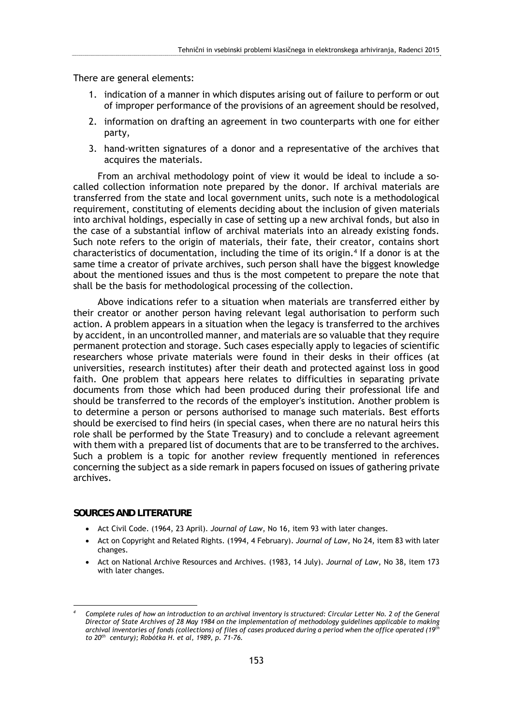There are general elements:

- 1. indication of a manner in which disputes arising out of failure to perform or out of improper performance of the provisions of an agreement should be resolved,
- 2. information on drafting an agreement in two counterparts with one for either party,
- 3. hand-written signatures of a donor and a representative of the archives that acquires the materials.

From an archival methodology point of view it would be ideal to include a socalled collection information note prepared by the donor. If archival materials are transferred from the state and local government units, such note is a methodological requirement, constituting of elements deciding about the inclusion of given materials into archival holdings, especially in case of setting up a new archival fonds, but also in the case of a substantial inflow of archival materials into an already existing fonds. Such note refers to the origin of materials, their fate, their creator, contains short characteristics of documentation, including the time of its origin.4 If a donor is at the same time a creator of private archives, such person shall have the biggest knowledge about the mentioned issues and thus is the most competent to prepare the note that shall be the basis for methodological processing of the collection.

Above indications refer to a situation when materials are transferred either by their creator or another person having relevant legal authorisation to perform such action. A problem appears in a situation when the legacy is transferred to the archives by accident, in an uncontrolled manner, and materials are so valuable that they require permanent protection and storage. Such cases especially apply to legacies of scientific researchers whose private materials were found in their desks in their offices (at universities, research institutes) after their death and protected against loss in good faith. One problem that appears here relates to difficulties in separating private documents from those which had been produced during their professional life and should be transferred to the records of the employer's institution. Another problem is to determine a person or persons authorised to manage such materials. Best efforts should be exercised to find heirs (in special cases, when there are no natural heirs this role shall be performed by the State Treasury) and to conclude a relevant agreement with them with a prepared list of documents that are to be transferred to the archives. Such a problem is a topic for another review frequently mentioned in references concerning the subject as a side remark in papers focused on issues of gathering private archives.

### **SOURCES AND LITERATURE**

<u>.</u>

- Act Civil Code. (1964, 23 April). *Journal of Law*, No 16, item 93 with later changes.
- Act on Copyright and Related Rights. (1994, 4 February). *Journal of Law*, No 24, item 83 with later changes.
- Act on National Archive Resources and Archives. (1983, 14 July). *Journal of Law*, No 38, item 173 with later changes.

*<sup>4</sup> Complete rules of how an introduction to an archival inventory is structured: Circular Letter No. 2 of the General Director of State Archives of 28 May 1984 on the implementation of methodology guidelines applicable to making archival inventories of fonds (collections) of files of cases produced during a period when the office operated (19th to 20th century); Robótka H. et al, 1989, p. 71-76.*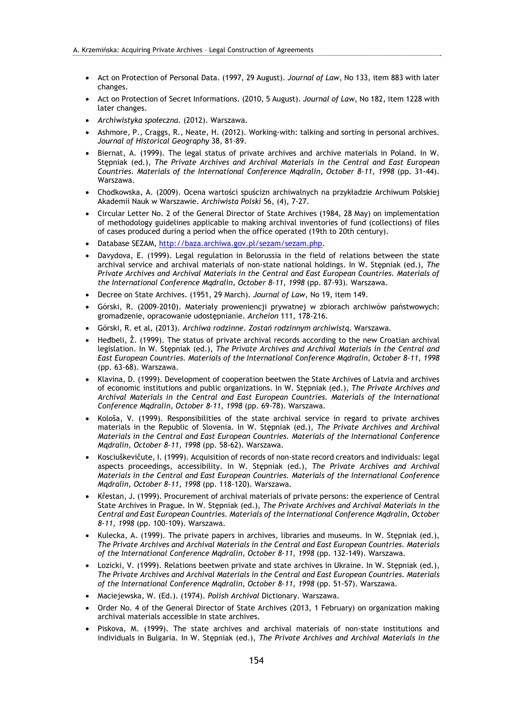- Act on Protection of Personal Data. (1997, 29 August). *Journal of Law*, No 133, item 883 with later changes.
- Act on Protection of Secret Informations. (2010, 5 August). *Journal of Law*, No 182, item 1228 with later changes.
- *Archiwistyka społeczna.* (2012). Warszawa.
- Ashmore, P., Craggs, R., Neate, H. (2012). Working-with: talking and sorting in personal archives. *Journal of Historical Geography* 38, 81-89.
- Biernat, A. (1999). The legal status of private archives and archive materials in Poland. In W. Stępniak (ed.), *The Private Archives and Archival Materials in the Central and East European Countries. Materials of the International Conference Mądralin, October 8-11, 1998* (pp. 31-44). Warszawa.
- Chodkowska, A. (2009). Ocena wartości spuścizn archiwalnych na przykładzie Archiwum Polskiej Akademii Nauk w Warszawie. *Archiwista Polski* 56, (4), 7-27.
- Circular Letter No. 2 of the General Director of State Archives (1984, 28 May) on implementation of methodology guidelines applicable to making archival inventories of fund (collections) of files of cases produced during a period when the office operated (19th to 20th century).
- Database SEZAM, http://baza.archiwa.gov.pl/sezam/sezam.php.
- Davydova, E. (1999). Legal regulation in Belorussia in the field of relations between the state archival service and archival materials of non-state national holdings. In W. Stępniak (ed.), *The Private Archives and Archival Materials in the Central and East European Countries. Materials of the International Conference Mądralin, October 8-11, 1998* (pp. 87-93). Warszawa.
- Decree on State Archives. (1951, 29 March). *Journal of Law*, No 19, item 149.
- Górski, R. (2009-2010). Materiały proweniencji prywatnej w zbiorach archiwów państwowych: gromadzenie, opracowanie udostępnianie. *Archeion* 111, 178-216.
- Górski, R. et al, (2013). *Archiwa rodzinne*. *Zostań rodzinnym archiwistą*. Warszawa.
- Heđbeli, Ž. (1999). The status of private archival records according to the new Croatian archival legislation. In W. Stępniak (ed.), *The Private Archives and Archival Materials in the Central and East European Countries. Materials of the International Conference Mądralin, October 8-11, 1998* (pp. 63-68). Warszawa.
- Klavina, D. (1999). Development of cooperation beetwen the State Archives of Latvia and archives of economic institutions and public organizations. In W. Stępniak (ed.), *The Private Archives and Archival Materials in the Central and East European Countries. Materials of the International Conference Mądralin, October 8-11, 1998* (pp. 69-78). Warszawa.
- Kološa, V. (1999). Responsibilities of the state archival service in regard to private archives materials in the Republic of Slovenia. In W. Stępniak (ed.), *The Private Archives and Archival Materials in the Central and East European Countries. Materials of the International Conference Mądralin, October 8-11, 1998* (pp. 58-62). Warszawa.
- Kosciuškevičute, I. (1999). Acquisition of records of non-state record creators and individuals: legal aspects proceedings, accessibility. In W. Stępniak (ed.), *The Private Archives and Archival Materials in the Central and East European Countries. Materials of the International Conference Mądralin, October 8-11, 1998* (pp. 118-120). Warszawa.
- Křestan, J. (1999). Procurement of archival materials of private persons: the experience of Central State Archives in Prague. In W. Stępniak (ed.), *The Private Archives and Archival Materials in the Central and East European Countries. Materials of the International Conference Mądralin, October 8-11, 1998* (pp. 100-109). Warszawa.
- Kulecka, A. (1999). The private papers in archives, libraries and museums. In W. Stępniak (ed.), *The Private Archives and Archival Materials in the Central and East European Countries. Materials of the International Conference Mądralin, October 8-11, 1998* (pp. 132-149). Warszawa.
- Lozicki, V. (1999). Relations beetwen private and state archives in Ukraine. In W. Stepniak (ed.), *The Private Archives and Archival Materials in the Central and East European Countries. Materials of the International Conference Mądralin, October 8-11, 1998* (pp. 51-57). Warszawa.
- Maciejewska, W. (Ed.). (1974). *Polish Archival* Dictionary. Warszawa.
- Order No. 4 of the General Director of State Archives (2013, 1 February) on organization making archival materials accessible in state archives.
- Piskova, M. (1999). The state archives and archival materials of non-state institutions and individuals in Bulgaria. In W. Stępniak (ed.), *The Private Archives and Archival Materials in the*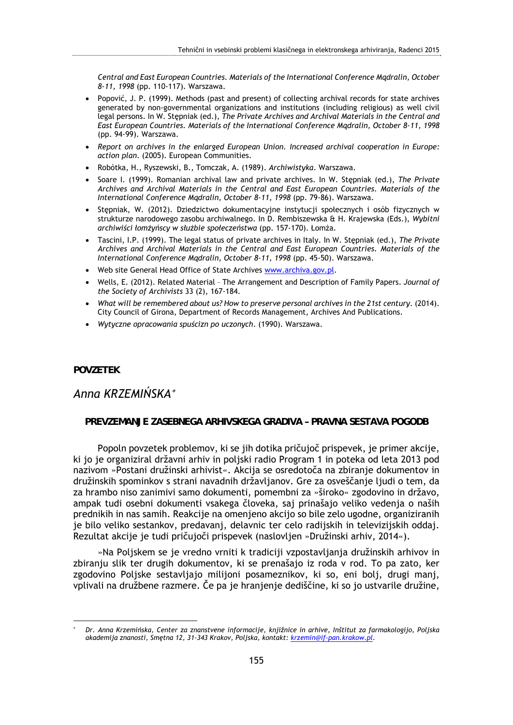*Central and East European Countries. Materials of the International Conference Mądralin, October 8-11, 1998* (pp. 110-117). Warszawa.

- Popović, J. P. (1999). Methods (past and present) of collecting archival records for state archives generated by non-governmental organizations and institutions (including religious) as well civil legal persons. In W. Stępniak (ed.), *The Private Archives and Archival Materials in the Central and East European Countries. Materials of the International Conference Mądralin, October 8-11, 1998* (pp. 94-99). Warszawa.
- *Report on archives in the enlarged European Union. Increased archival cooperation in Europe: action plan*. (2005). European Communities.
- Robótka, H., Ryszewski, B., Tomczak, A. (1989). *Archiwistyka*. Warszawa.
- Soare I. (1999). Romanian archival law and private archives. In W. Stępniak (ed.), *The Private Archives and Archival Materials in the Central and East European Countries. Materials of the International Conference Mądralin, October 8-11, 1998* (pp. 79-86). Warszawa.
- Stępniak, W. (2012). Dziedzictwo dokumentacyjne instytucji społecznych i osób fizycznych w strukturze narodowego zasobu archiwalnego. In D. Rembiszewska & H. Krajewska (Eds.), *Wybitni archiwiści łomżyńscy w służbie społeczeństwa* (pp. 157-170). Łomża.
- Tascini, I.P. (1999). The legal status of private archives in Italy. In W. Stępniak (ed.), *The Private Archives and Archival Materials in the Central and East European Countries. Materials of the International Conference Mądralin, October 8-11, 1998* (pp. 45-50). Warszawa.
- Web site General Head Office of State Archives www.archiva.gov.pl.
- Wells, E. (2012). Related Material The Arrangement and Description of Family Papers. *Journal of the Society of Archivists* 33 (2), 167-184.
- *What will be remembered about us? How to preserve personal archives in the 21st century*. (2014). City Council of Girona, Department of Records Management, Archives And Publications.
- *Wytyczne opracowania spuścizn po uczonych*. (1990). Warszawa.

#### **POVZETEK**

1

# *Anna KRZEMIŃSKA*

### **PREVZEMANJE ZASEBNEGA ARHIVSKEGA GRADIVA – PRAVNA SESTAVA POGODB**

Popoln povzetek problemov, ki se jih dotika pričujoč prispevek, je primer akcije, ki jo je organiziral državni arhiv in poljski radio Program 1 in poteka od leta 2013 pod nazivom »Postani družinski arhivist«. Akcija se osredotoča na zbiranje dokumentov in družinskih spominkov s strani navadnih državljanov. Gre za osveščanje ljudi o tem, da za hrambo niso zanimivi samo dokumenti, pomembni za »široko« zgodovino in državo, ampak tudi osebni dokumenti vsakega človeka, saj prinašajo veliko vedenja o naših prednikih in nas samih. Reakcije na omenjeno akcijo so bile zelo ugodne, organiziranih je bilo veliko sestankov, predavanj, delavnic ter celo radijskih in televizijskih oddaj. Rezultat akcije je tudi pričujoči prispevek (naslovljen »Družinski arhiv, 2014«).

»Na Poljskem se je vredno vrniti k tradiciji vzpostavljanja družinskih arhivov in zbiranju slik ter drugih dokumentov, ki se prenašajo iz roda v rod. To pa zato, ker zgodovino Poljske sestavljajo milijoni posameznikov, ki so, eni bolj, drugi manj, vplivali na družbene razmere. Če pa je hranjenje dediščine, ki so jo ustvarile družine,

<sup>\*</sup>  *Dr. Anna Krzemińska, Center za znanstvene informacije, knjižnice in arhive, Inštitut za farmakologijo, Poljska akademija znanosti, Smętna 12, 31-343 Krakov, Poljska, kontakt: krzemin@if-pan.krakow.pl.*